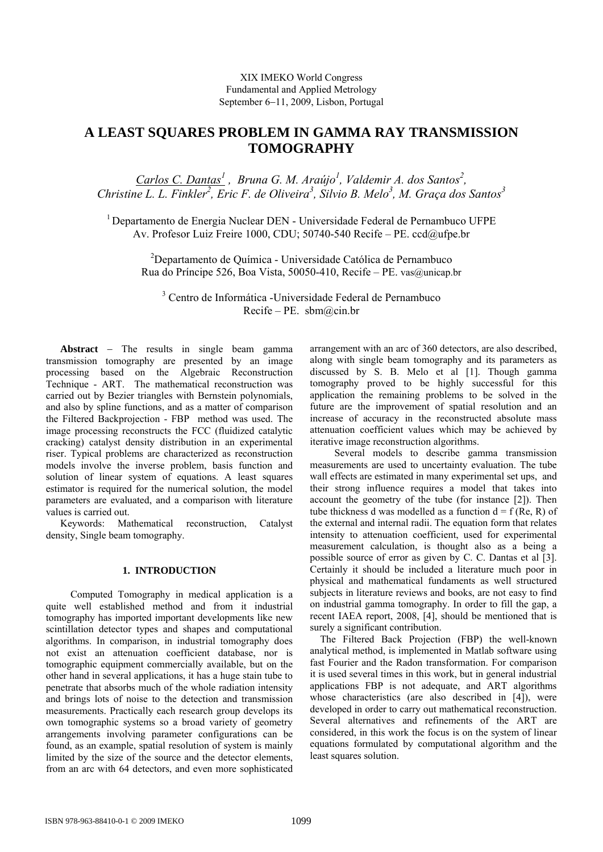# **A LEAST SQUARES PROBLEM IN GAMMA RAY TRANSMISSION TOMOGRAPHY**

*Carlos C. Dantas<sup>1</sup></sup>, Bruna G. M. Araújo<sup>1</sup>, Valdemir A. dos Santos<sup>2</sup>, Christine L. L. Finkler<sup>2</sup>, Eric F. de Oliveira<sup>3</sup>, Silvio B. Melo<sup>3</sup>, M. Graça dos Santos<sup>3</sup>* 

1 Departamento de Energia Nuclear DEN - Universidade Federal de Pernambuco UFPE Av. Profesor Luiz Freire 1000, CDU; 50740-540 Recife – PE. ccd@ufpe.br

2 Departamento de Química - Universidade Católica de Pernambuco Rua do Príncipe 526, Boa Vista, 50050-410, Recife – PE. vas@unicap.br

3 Centro de Informática -Universidade Federal de Pernambuco Recife – PE. sbm@cin.br

**Abstract** − The results in single beam gamma transmission tomography are presented by an image processing based on the Algebraic Reconstruction Technique - ART. The mathematical reconstruction was carried out by Bezier triangles with Bernstein polynomials, and also by spline functions, and as a matter of comparison the Filtered Backprojection - FBP method was used. The image processing reconstructs the FCC (fluidized catalytic cracking) catalyst density distribution in an experimental riser. Typical problems are characterized as reconstruction models involve the inverse problem, basis function and solution of linear system of equations. A least squares estimator is required for the numerical solution, the model parameters are evaluated, and a comparison with literature values is carried out.

Keywords: Mathematical reconstruction, Catalyst density, Single beam tomography.

# **1. INTRODUCTION**

Computed Tomography in medical application is a quite well established method and from it industrial tomography has imported important developments like new scintillation detector types and shapes and computational algorithms. In comparison, in industrial tomography does not exist an attenuation coefficient database, nor is tomographic equipment commercially available, but on the other hand in several applications, it has a huge stain tube to penetrate that absorbs much of the whole radiation intensity and brings lots of noise to the detection and transmission measurements. Practically each research group develops its own tomographic systems so a broad variety of geometry arrangements involving parameter configurations can be found, as an example, spatial resolution of system is mainly limited by the size of the source and the detector elements, from an arc with 64 detectors, and even more sophisticated arrangement with an arc of 360 detectors, are also described, along with single beam tomography and its parameters as discussed by S. B. Melo et al [1]. Though gamma tomography proved to be highly successful for this application the remaining problems to be solved in the future are the improvement of spatial resolution and an increase of accuracy in the reconstructed absolute mass attenuation coefficient values which may be achieved by iterative image reconstruction algorithms.

 Several models to describe gamma transmission measurements are used to uncertainty evaluation. The tube wall effects are estimated in many experimental set ups, and their strong influence requires a model that takes into account the geometry of the tube (for instance [2]). Then tube thickness d was modelled as a function  $d = f(Re, R)$  of the external and internal radii. The equation form that relates intensity to attenuation coefficient, used for experimental measurement calculation, is thought also as a being a possible source of error as given by C. C. Dantas et al [3]. Certainly it should be included a literature much poor in physical and mathematical fundaments as well structured subjects in literature reviews and books, are not easy to find on industrial gamma tomography. In order to fill the gap, a recent IAEA report, 2008, [4], should be mentioned that is surely a significant contribution.

 The Filtered Back Projection (FBP) the well-known analytical method, is implemented in Matlab software using fast Fourier and the Radon transformation. For comparison it is used several times in this work, but in general industrial applications FBP is not adequate, and ART algorithms whose characteristics (are also described in [4]), were developed in order to carry out mathematical reconstruction. Several alternatives and refinements of the ART are considered, in this work the focus is on the system of linear equations formulated by computational algorithm and the least squares solution.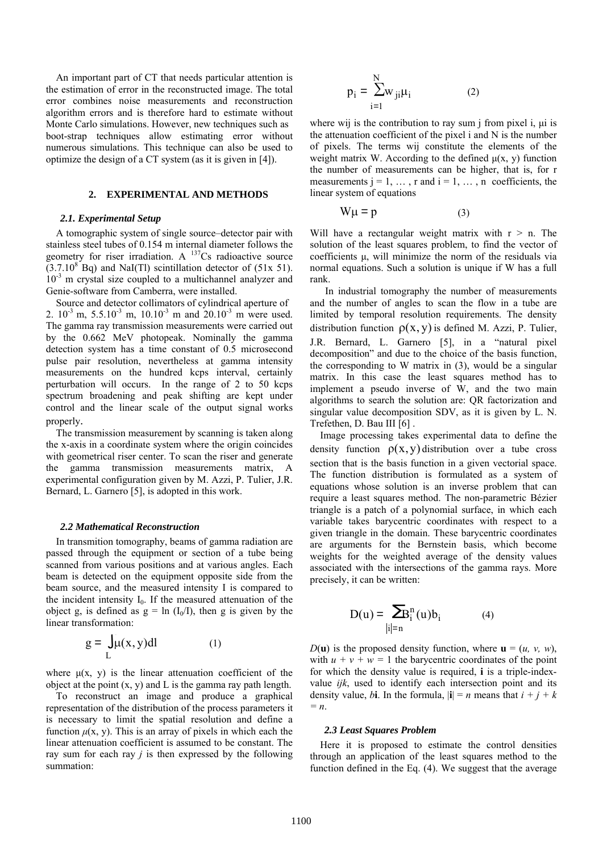An important part of CT that needs particular attention is the estimation of error in the reconstructed image. The total error combines noise measurements and reconstruction algorithm errors and is therefore hard to estimate without Monte Carlo simulations. However, new techniques such as boot-strap techniques allow estimating error without numerous simulations. This technique can also be used to optimize the design of a CT system (as it is given in [4]).

# **2. EXPERIMENTAL AND METHODS**

# *2.1. Experimental Setup*

 A tomographic system of single source–detector pair with stainless steel tubes of 0.154 m internal diameter follows the geometry for riser irradiation. A  $^{137}Cs$  radioactive source  $(3.7.10<sup>8</sup>$  Bq) and NaI(Tl) scintillation detector of (51x 51).  $10^{-3}$  m crystal size coupled to a multichannel analyzer and Genie-software from Camberra, were installed.

 Source and detector collimators of cylindrical aperture of 2.  $10^{-3}$  m,  $5.5.10^{-3}$  m,  $10.10^{-3}$  m and  $20.10^{-3}$  m were used. The gamma ray transmission measurements were carried out by the 0.662 MeV photopeak. Nominally the gamma detection system has a time constant of 0.5 microsecond pulse pair resolution, nevertheless at gamma intensity measurements on the hundred kcps interval, certainly perturbation will occurs. In the range of 2 to 50 kcps spectrum broadening and peak shifting are kept under control and the linear scale of the output signal works properly.

 The transmission measurement by scanning is taken along the x-axis in a coordinate system where the origin coincides with geometrical riser center. To scan the riser and generate the gamma transmission measurements matrix, A experimental configuration given by M. Azzi, P. Tulier, J.R. Bernard, L. Garnero [5], is adopted in this work.

## *2.2 Mathematical Reconstruction*

 In transmition tomography, beams of gamma radiation are passed through the equipment or section of a tube being scanned from various positions and at various angles. Each beam is detected on the equipment opposite side from the beam source, and the measured intensity I is compared to the incident intensity  $I_0$ . If the measured attenuation of the object g, is defined as  $g = \ln (I_0/I)$ , then g is given by the linear transformation:

$$
g = \int_{L} \mu(x, y) dl
$$
 (1)

where  $\mu(x, y)$  is the linear attenuation coefficient of the object at the point  $(x, y)$  and L is the gamma ray path length.

 To reconstruct an image and produce a graphical representation of the distribution of the process parameters it is necessary to limit the spatial resolution and define a function  $\mu(x, y)$ . This is an array of pixels in which each the linear attenuation coefficient is assumed to be constant. The ray sum for each ray *j* is then expressed by the following summation:

$$
p_i = \sum_{i=1}^{N} w_{ji} \mu_i \tag{2}
$$

where wij is the contribution to ray sum j from pixel i, μi is the attenuation coefficient of the pixel i and N is the number of pixels. The terms wij constitute the elements of the weight matrix W. According to the defined  $\mu(x, y)$  function the number of measurements can be higher, that is, for r measurements  $j = 1, \ldots, r$  and  $i = 1, \ldots, n$  coefficients, the linear system of equations

$$
W\mu = p \tag{3}
$$

Will have a rectangular weight matrix with  $r > n$ . The solution of the least squares problem, to find the vector of coefficients μ, will minimize the norm of the residuals via normal equations. Such a solution is unique if W has a full rank.

 In industrial tomography the number of measurements and the number of angles to scan the flow in a tube are limited by temporal resolution requirements. The density distribution function  $\rho(x, y)$  is defined M. Azzi, P. Tulier, J.R. Bernard, L. Garnero [5], in a "natural pixel decomposition" and due to the choice of the basis function, the corresponding to W matrix in (3), would be a singular matrix. In this case the least squares method has to implement a pseudo inverse of W, and the two main algorithms to search the solution are: QR factorization and singular value decomposition SDV, as it is given by L. N. Trefethen, D. Bau III [6] .

 Image processing takes experimental data to define the density function  $\rho(x, y)$  distribution over a tube cross section that is the basis function in a given vectorial space. The function distribution is formulated as a system of equations whose solution is an inverse problem that can require a least squares method. The non-parametric Bézier triangle is a patch of a polynomial surface, in which each variable takes barycentric coordinates with respect to a given triangle in the domain. These barycentric coordinates are arguments for the Bernstein basis, which become weights for the weighted average of the density values associated with the intersections of the gamma rays. More precisely, it can be written:

$$
D(u) = \sum_{|i|=n} B_i^n(u)b_i \tag{4}
$$

 $D(\mathbf{u})$  is the proposed density function, where  $\mathbf{u} = (u, v, w)$ , with  $u + v + w = 1$  the barycentric coordinates of the point for which the density value is required, **i** is a triple-indexvalue *ijk*, used to identify each intersection point and its density value, *b***i**. In the formula,  $|\mathbf{i}| = n$  means that  $i + j + k$ *= n*.

#### *2.3 Least Squares Problem*

 Here it is proposed to estimate the control densities through an application of the least squares method to the function defined in the Eq. (4). We suggest that the average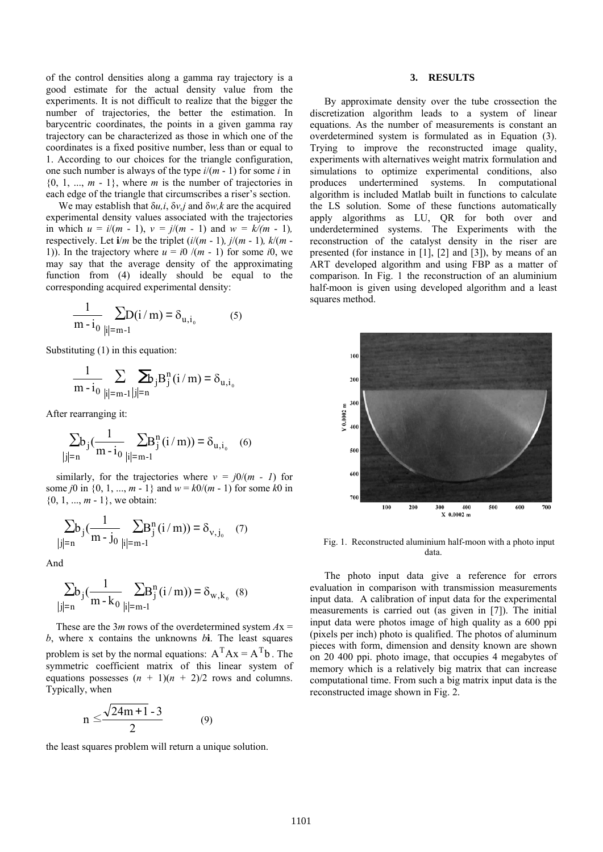of the control densities along a gamma ray trajectory is a good estimate for the actual density value from the experiments. It is not difficult to realize that the bigger the number of trajectories, the better the estimation. In barycentric coordinates, the points in a given gamma ray trajectory can be characterized as those in which one of the coordinates is a fixed positive number, less than or equal to 1. According to our choices for the triangle configuration, one such number is always of the type *i*/(*m* - 1) for some *i* in  $\{0, 1, ..., m - 1\}$ , where *m* is the number of trajectories in each edge of the triangle that circumscribes a riser's section.

 We may establish that δ*u,i*, δ*v,j* and δ*w,k* are the acquired experimental density values associated with the trajectories in which  $u = i/(m - 1)$ ,  $v = j/(m - 1)$  and  $w = k/(m - 1)$ , respectively. Let  $\mathbf{i}/m$  be the triplet  $(i/(m-1), j/(m-1), k/(m-1))$ 1)). In the trajectory where  $u = i0/(m - 1)$  for some *i*0, we may say that the average density of the approximating function from (4) ideally should be equal to the corresponding acquired experimental density:

$$
\frac{1}{m - i_0} \sum_{|i| = m - 1} D(i/m) = \delta_{u, i_0}
$$
 (5)

Substituting (1) in this equation:

$$
\frac{1}{m-i_0} \sum_{|i|=m-1} \sum_{|j|=n} b_j B_j^n(i/m) = \delta_{u,i_0}
$$

After rearranging it:

$$
\sum_{|j|=n} b_j \left( \frac{1}{m-i_0} \sum_{|i|=m-1} B_j^n(i/m) \right) = \delta_{u,i_0} \quad (6)
$$

similarly, for the trajectories where  $v = j0/(m - 1)$  for some *j*0 in {0, 1, ..., *m* - 1} and  $w = k0/(m - 1)$  for some *k*0 in {0, 1, ..., *m* - 1}, we obtain:

$$
\sum_{|j|=n} b_j \left( \frac{1}{m-j_0} \sum_{|i|=m-1} B_j^n(i/m) \right) = \delta_{v, j_0} \quad (7)
$$

And

 $\overline{\phantom{a}}$ 

$$
\sum_{|j|=n} b_j \left( \frac{1}{m - k_0} \sum_{|i|=m-1} B_j^n(i/m) \right) = \delta_{w, k_0} \quad (8)
$$

These are the 3*m* rows of the overdetermined system  $Ax =$ *b*, where x contains the unknowns *b***i**. The least squares problem is set by the normal equations:  $A<sup>T</sup>Ax = A<sup>T</sup>b$ . The symmetric coefficient matrix of this linear system of equations possesses  $(n + 1)(n + 2)/2$  rows and columns. Typically, when

$$
n \leq \frac{\sqrt{24m+1} - 3}{2} \tag{9}
$$

the least squares problem will return a unique solution.

# **3. RESULTS**

By approximate density over the tube crossection the discretization algorithm leads to a system of linear equations. As the number of measurements is constant an overdetermined system is formulated as in Equation (3). Trying to improve the reconstructed image quality, experiments with alternatives weight matrix formulation and simulations to optimize experimental conditions, also produces undertermined systems. In computational algorithm is included Matlab built in functions to calculate the LS solution. Some of these functions automatically apply algorithms as LU, QR for both over and underdetermined systems. The Experiments with the reconstruction of the catalyst density in the riser are presented (for instance in [1], [2] and [3]), by means of an ART developed algorithm and using FBP as a matter of comparison. In Fig. 1 the reconstruction of an aluminium half-moon is given using developed algorithm and a least squares method.



 Fig. 1. Reconstructed aluminium half-moon with a photo input data.

The photo input data give a reference for errors evaluation in comparison with transmission measurements input data. A calibration of input data for the experimental measurements is carried out (as given in [7]). The initial input data were photos image of high quality as a 600 ppi (pixels per inch) photo is qualified. The photos of aluminum pieces with form, dimension and density known are shown on 20 400 ppi. photo image, that occupies 4 megabytes of memory which is a relatively big matrix that can increase computational time. From such a big matrix input data is the reconstructed image shown in Fig. 2.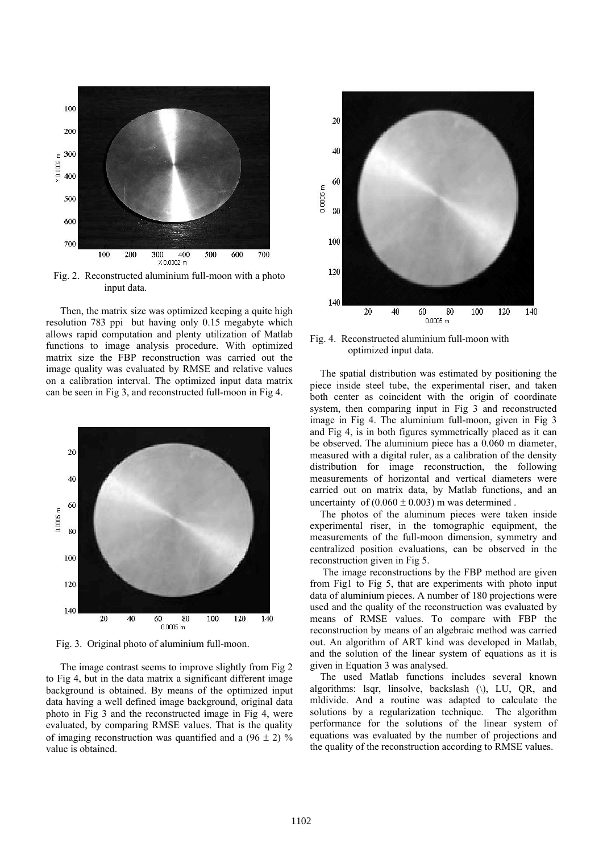

input data.

Then, the matrix size was optimized keeping a quite high resolution 783 ppi but having only 0.15 megabyte which allows rapid computation and plenty utilization of Matlab functions to image analysis procedure. With optimized matrix size the FBP reconstruction was carried out the image quality was evaluated by RMSE and relative values on a calibration interval. The optimized input data matrix can be seen in Fig 3, and reconstructed full-moon in Fig 4.



Fig. 3. Original photo of aluminium full-moon.

The image contrast seems to improve slightly from Fig 2 to Fig 4, but in the data matrix a significant different image background is obtained. By means of the optimized input data having a well defined image background, original data photo in Fig 3 and the reconstructed image in Fig 4, were evaluated, by comparing RMSE values. That is the quality of imaging reconstruction was quantified and a  $(96 \pm 2)$  % value is obtained.



Fig. 4. Reconstructed aluminium full-moon with optimized input data.

 The spatial distribution was estimated by positioning the piece inside steel tube, the experimental riser, and taken both center as coincident with the origin of coordinate system, then comparing input in Fig 3 and reconstructed image in Fig 4. The aluminium full-moon, given in Fig 3 and Fig 4, is in both figures symmetrically placed as it can be observed. The aluminium piece has a 0.060 m diameter, measured with a digital ruler, as a calibration of the density distribution for image reconstruction, the following measurements of horizontal and vertical diameters were carried out on matrix data, by Matlab functions, and an uncertainty of  $(0.060 \pm 0.003)$  m was determined.

 The photos of the aluminum pieces were taken inside experimental riser, in the tomographic equipment, the measurements of the full-moon dimension, symmetry and centralized position evaluations, can be observed in the reconstruction given in Fig 5.

 The image reconstructions by the FBP method are given from Fig1 to Fig 5, that are experiments with photo input data of aluminium pieces. A number of 180 projections were used and the quality of the reconstruction was evaluated by means of RMSE values. To compare with FBP the reconstruction by means of an algebraic method was carried out. An algorithm of ART kind was developed in Matlab, and the solution of the linear system of equations as it is given in Equation 3 was analysed.

 The used Matlab functions includes several known algorithms: lsqr, linsolve, backslash (\), LU, QR, and mldivide. And a routine was adapted to calculate the solutions by a regularization technique. The algorithm performance for the solutions of the linear system of equations was evaluated by the number of projections and the quality of the reconstruction according to RMSE values.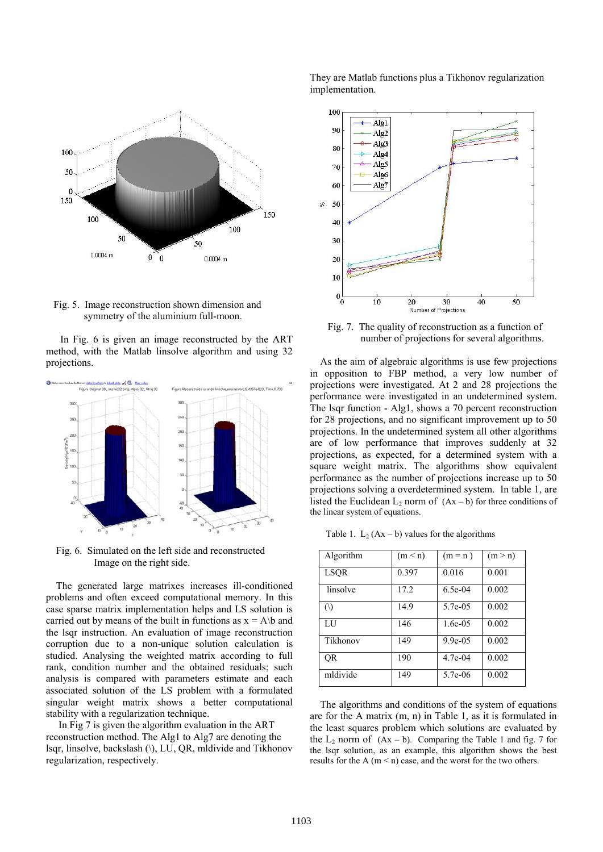

 Fig. 5. Image reconstruction shown dimension and symmetry of the aluminium full-moon.

In Fig. 6 is given an image reconstructed by the ART method, with the Matlab linsolve algorithm and using 32 projections.



 Fig. 6. Simulated on the left side and reconstructed Image on the right side.

 The generated large matrixes increases ill-conditioned problems and often exceed computational memory. In this case sparse matrix implementation helps and LS solution is carried out by means of the built in functions as  $x = A/b$  and the lsqr instruction. An evaluation of image reconstruction corruption due to a non-unique solution calculation is studied. Analysing the weighted matrix according to full rank, condition number and the obtained residuals; such analysis is compared with parameters estimate and each associated solution of the LS problem with a formulated singular weight matrix shows a better computational stability with a regularization technique.

 In Fig 7 is given the algorithm evaluation in the ART reconstruction method. The Alg1 to Alg7 are denoting the lsqr, linsolve, backslash (\), LU, QR, mldivide and Tikhonov regularization, respectively.

They are Matlab functions plus a Tikhonov regularization implementation.



 Fig. 7. The quality of reconstruction as a function of number of projections for several algorithms.

 As the aim of algebraic algorithms is use few projections in opposition to FBP method, a very low number of projections were investigated. At 2 and 28 projections the performance were investigated in an undetermined system. The lsqr function - Alg1, shows a 70 percent reconstruction for 28 projections, and no significant improvement up to 50 projections. In the undetermined system all other algorithms are of low performance that improves suddenly at 32 projections, as expected, for a determined system with a square weight matrix. The algorithms show equivalent performance as the number of projections increase up to 50 projections solving a overdetermined system. In table 1, are listed the Euclidean  $L_2$  norm of  $(Ax - b)$  for three conditions of the linear system of equations.

Table 1.  $L_2$  (Ax – b) values for the algorithms

| Algorithm   | (m < n) | $(m = n)$  | (m > n) |
|-------------|---------|------------|---------|
| <b>LSQR</b> | 0.397   | 0.016      | 0.001   |
| linsolve    | 17.2    | $6.5e-04$  | 0.002   |
| $\circ$     | 14.9    | 5.7e-05    | 0.002   |
| LU          | 146     | $1.6e-0.5$ | 0.002   |
| Tikhonov    | 149     | $9.9e-0.5$ | 0.002   |
| OR          | 190     | $4.7e-04$  | 0.002   |
| mldivide    | 149     | 5.7e-06    | 0.002   |

 The algorithms and conditions of the system of equations are for the A matrix (m, n) in Table 1, as it is formulated in the least squares problem which solutions are evaluated by the  $L_2$  norm of  $(Ax - b)$ . Comparing the Table 1 and fig. 7 for the lsqr solution, as an example, this algorithm shows the best results for the A ( $m < n$ ) case, and the worst for the two others.